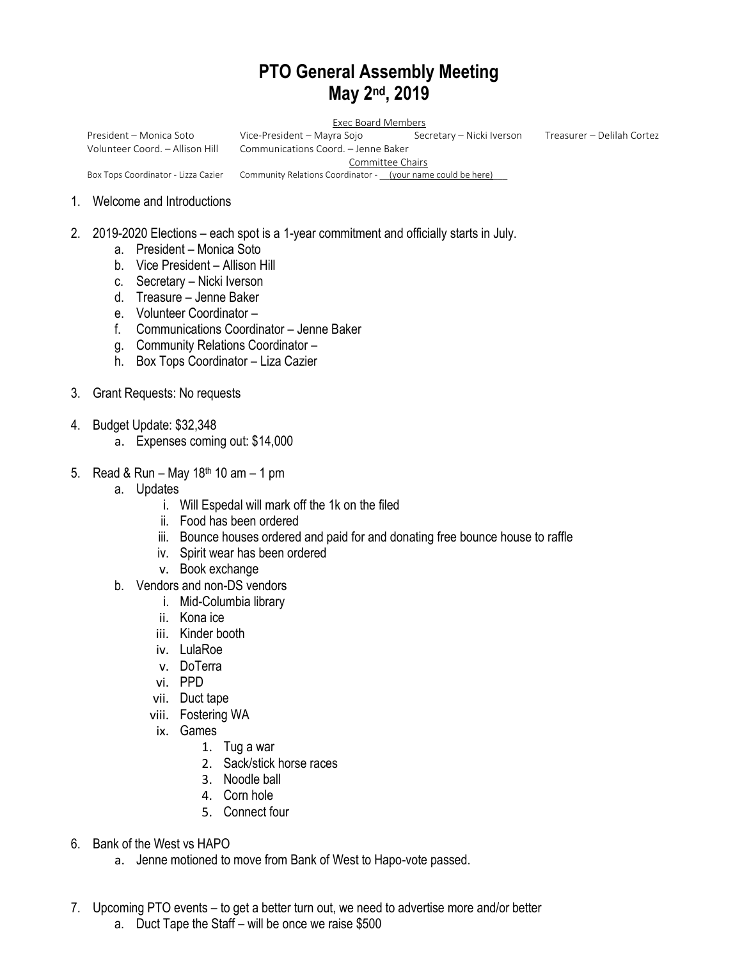## **PTO General Assembly Meeting May 2nd, 2019**

<u>Exec Board Members</u><br>Vice-President – Mayra Sojo Sec

President – Monica Soto Vice-President – Mayra Sojo Secretary – Nicki Iverson Treasurer – Delilah Cortez Volunteer Coord. – Allison Hill Communications Coord. – Jenne Baker

Committee Chairs

Box Tops Coordinator - Lizza Cazier Community Relations Coordinator - \_\_\_(your name could be here)\_

## 1. Welcome and Introductions

- 2. 2019-2020 Elections each spot is a 1-year commitment and officially starts in July.
	- a. President Monica Soto
	- b. Vice President Allison Hill
	- c. Secretary Nicki Iverson
	- d. Treasure Jenne Baker
	- e. Volunteer Coordinator –
	- f. Communications Coordinator Jenne Baker
	- g. Community Relations Coordinator –
	- h. Box Tops Coordinator Liza Cazier
- 3. Grant Requests: No requests
- 4. Budget Update: \$32,348
	- a. Expenses coming out: \$14,000
- 5. Read & Run May  $18^{th}$  10 am 1 pm
	- a. Updates
		- i. Will Espedal will mark off the 1k on the filed
		- ii. Food has been ordered
		- iii. Bounce houses ordered and paid for and donating free bounce house to raffle
		- iv. Spirit wear has been ordered
		- v. Book exchange
	- b. Vendors and non-DS vendors
		- i. Mid-Columbia library
		- ii. Kona ice
		- iii. Kinder booth
		- iv. LulaRoe
		- v. DoTerra
		- vi. PPD
		- vii. Duct tape
		- viii. Fostering WA
		- ix. Games
			- 1. Tug a war
			- 2. Sack/stick horse races
			- 3. Noodle ball
			- 4. Corn hole
			- 5. Connect four
- 6. Bank of the West vs HAPO
	- a. Jenne motioned to move from Bank of West to Hapo-vote passed.
- 7. Upcoming PTO events to get a better turn out, we need to advertise more and/or better
	- a. Duct Tape the Staff will be once we raise \$500